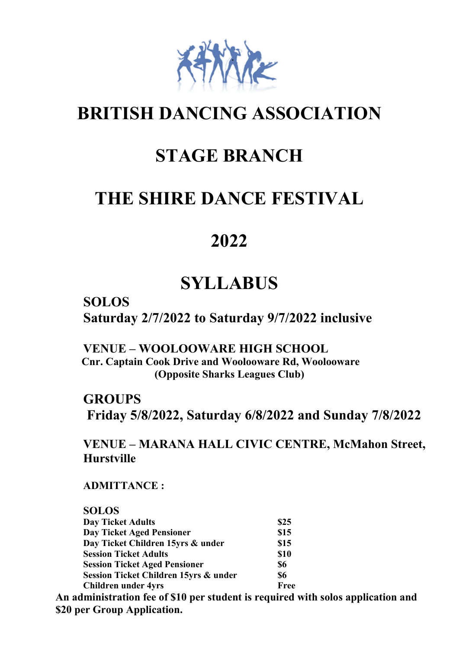

# **BRITISH DANCING ASSOCIATION**

# **STAGE BRANCH**

# **THE SHIRE DANCE FESTIVAL**

# **2022**

# **SYLLABUS**

**SOLOS Saturday 2/7/2022 to Saturday 9/7/2022 inclusive**

**VENUE – WOOLOOWARE HIGH SCHOOL Cnr. Captain Cook Drive and Woolooware Rd, Woolooware (Opposite Sharks Leagues Club)**

**GROUPS Friday 5/8/2022, Saturday 6/8/2022 and Sunday 7/8/2022**

**VENUE – MARANA HALL CIVIC CENTRE, McMahon Street, Hurstville**

**ADMITTANCE :**

| <b>SOLOS</b>                          |      |
|---------------------------------------|------|
| <b>Day Ticket Adults</b>              | \$25 |
| <b>Day Ticket Aged Pensioner</b>      | \$15 |
| Day Ticket Children 15yrs & under     | \$15 |
| <b>Session Ticket Adults</b>          | \$10 |
| <b>Session Ticket Aged Pensioner</b>  | \$6  |
| Session Ticket Children 15yrs & under | \$6  |
| <b>Children under 4yrs</b>            | Free |

**An administration fee of \$10 per student is required with solos application and \$20 per Group Application.**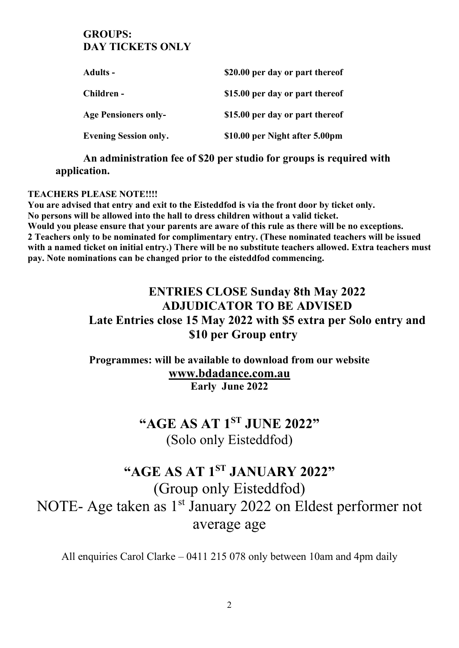## **GROUPS: DAY TICKETS ONLY**

| <b>Adults -</b>              | \$20.00 per day or part thereof |
|------------------------------|---------------------------------|
| Children -                   | \$15.00 per day or part thereof |
| <b>Age Pensioners only-</b>  | \$15.00 per day or part thereof |
| <b>Evening Session only.</b> | \$10.00 per Night after 5.00pm  |

**An administration fee of \$20 per studio for groups is required with application.**

#### **TEACHERS PLEASE NOTE!!!!**

**You are advised that entry and exit to the Eisteddfod is via the front door by ticket only. No persons will be allowed into the hall to dress children without a valid ticket. Would you please ensure that your parents are aware of this rule as there will be no exceptions. 2 Teachers only to be nominated for complimentary entry. (These nominated teachers will be issued with a named ticket on initial entry.) There will be no substitute teachers allowed. Extra teachers must pay. Note nominations can be changed prior to the eisteddfod commencing.** 

# **ENTRIES CLOSE Sunday 8th May 2022 ADJUDICATOR TO BE ADVISED Late Entries close 15 May 2022 with \$5 extra per Solo entry and \$10 per Group entry**

**Programmes: will be available to download from our website [www.bdadance.com.au](http://www.bdadance.com.au/) Early June 2022**

# **"AGE AS AT 1ST JUNE 2022"** (Solo only Eisteddfod)

# **"AGE AS AT 1ST JANUARY 2022"** (Group only Eisteddfod) NOTE- Age taken as 1<sup>st</sup> January 2022 on Eldest performer not average age

All enquiries Carol Clarke – 0411 215 078 only between 10am and 4pm daily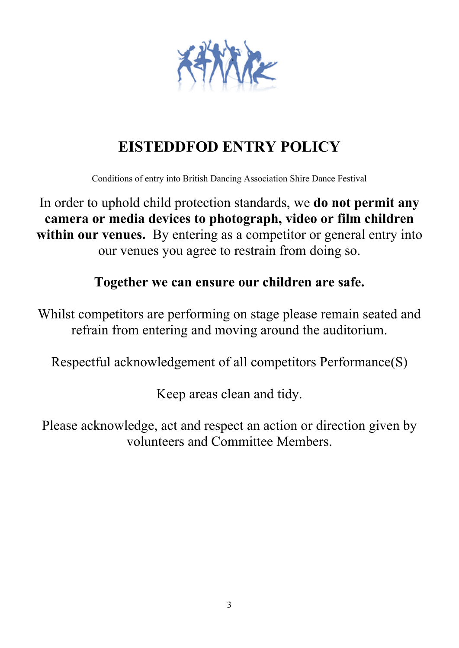

# **EISTEDDFOD ENTRY POLICY**

Conditions of entry into British Dancing Association Shire Dance Festival

In order to uphold child protection standards, we **do not permit any camera or media devices to photograph, video or film children within our venues.** By entering as a competitor or general entry into our venues you agree to restrain from doing so.

# **Together we can ensure our children are safe.**

Whilst competitors are performing on stage please remain seated and refrain from entering and moving around the auditorium.

Respectful acknowledgement of all competitors Performance(S)

Keep areas clean and tidy.

Please acknowledge, act and respect an action or direction given by volunteers and Committee Members.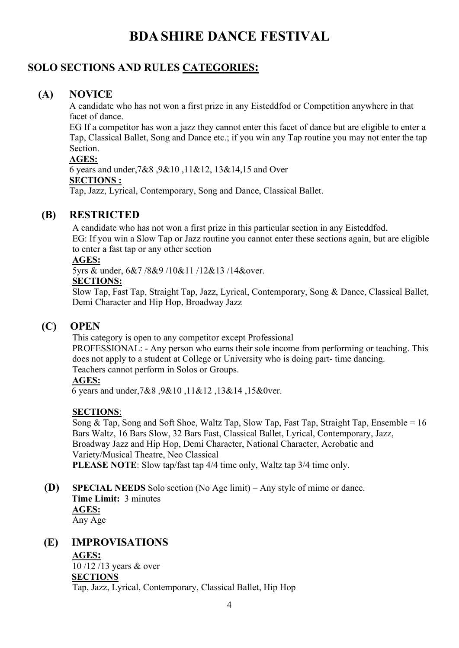# **BDA SHIRE DANCE FESTIVAL**

## **SOLO SECTIONS AND RULES CATEGORIES:**

## **(A) NOVICE**

A candidate who has not won a first prize in any Eisteddfod or Competition anywhere in that facet of dance.

EG If a competitor has won a jazz they cannot enter this facet of dance but are eligible to enter a Tap, Classical Ballet, Song and Dance etc.; if you win any Tap routine you may not enter the tap Section.

#### **AGES:**

6 years and under,7&8 ,9&10 ,11&12, 13&14,15 and Over **SECTIONS :**

Tap, Jazz, Lyrical, Contemporary, Song and Dance, Classical Ballet.

#### **(B) RESTRICTED**

A candidate who has not won a first prize in this particular section in any Eisteddfod. EG: If you win a Slow Tap or Jazz routine you cannot enter these sections again, but are eligible to enter a fast tap or any other section

#### **AGES:**

5yrs & under, 6&7 /8&9 /10&11 /12&13 /14&over.

#### **SECTIONS:**

Slow Tap, Fast Tap, Straight Tap, Jazz, Lyrical, Contemporary, Song & Dance, Classical Ballet, Demi Character and Hip Hop, Broadway Jazz

### **(C) OPEN**

This category is open to any competitor except Professional

PROFESSIONAL: - Any person who earns their sole income from performing or teaching. This does not apply to a student at College or University who is doing part- time dancing. Teachers cannot perform in Solos or Groups.

#### **AGES:**

6 years and under,7&8 ,9&10 ,11&12 ,13&14 ,15&0ver.

#### **SECTIONS**:

Song & Tap, Song and Soft Shoe, Waltz Tap, Slow Tap, Fast Tap, Straight Tap, Ensemble =  $16$ Bars Waltz, 16 Bars Slow, 32 Bars Fast, Classical Ballet, Lyrical, Contemporary, Jazz, Broadway Jazz and Hip Hop, Demi Character, National Character, Acrobatic and Variety/Musical Theatre, Neo Classical **PLEASE NOTE**: Slow tap/fast tap 4/4 time only, Waltz tap 3/4 time only.

**(D) SPECIAL NEEDS** Solo section (No Age limit) – Any style of mime or dance. **Time Limit:** 3 minutes **AGES:** Any Age

#### **(E) IMPROVISATIONS**

**AGES:**  10 /12 /13 years & over **SECTIONS** Tap, Jazz, Lyrical, Contemporary, Classical Ballet, Hip Hop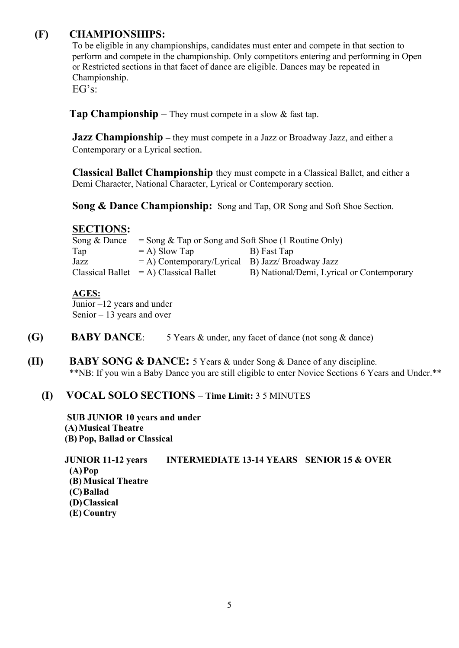## **(F) CHAMPIONSHIPS:**

To be eligible in any championships, candidates must enter and compete in that section to perform and compete in the championship. Only competitors entering and performing in Open or Restricted sections in that facet of dance are eligible. Dances may be repeated in Championship.

EG's:

**Tap Championship** – They must compete in a slow & fast tap.

**Jazz Championship** – they must compete in a Jazz or Broadway Jazz, and either a Contemporary or a Lyrical section.

**Classical Ballet Championship** they must compete in a Classical Ballet, and either a Demi Character, National Character, Lyrical or Contemporary section.

**Song & Dance Championship:** Song and Tap, OR Song and Soft Shoe Section.

#### **SECTIONS:**

| Song & Dance | $=$ Song & Tap or Song and Soft Shoe (1 Routine Only) |                                           |
|--------------|-------------------------------------------------------|-------------------------------------------|
| Tap          | $=$ A) Slow Tap                                       | B) Fast Tap                               |
| Jazz         | $=$ A) Contemporary/Lyrical B) Jazz/ Broadway Jazz    |                                           |
|              | $Classical$ Ballet $= A$ ) Classical Ballet           | B) National/Demi, Lyrical or Contemporary |

#### **AGES:**

Junior –12 years and under Senior – 13 years and over

- **(G) BABY DANCE**: 5 Years & under, any facet of dance (not song & dance)
- **(H) BABY SONG & DANCE:** 5 Years & under Song & Dance of any discipline. \*\*NB: If you win a Baby Dance you are still eligible to enter Novice Sections 6 Years and Under.\*\*

### **(I) VOCAL SOLO SECTIONS** – **Time Limit:** 3 5 MINUTES

 **SUB JUNIOR 10 years and under (A)Musical Theatre (B) Pop, Ballad or Classical**

**JUNIOR 11-12 years INTERMEDIATE 13-14 YEARS SENIOR 15 & OVER (A)Pop (B) Musical Theatre (C)Ballad (D)Classical (E) Country**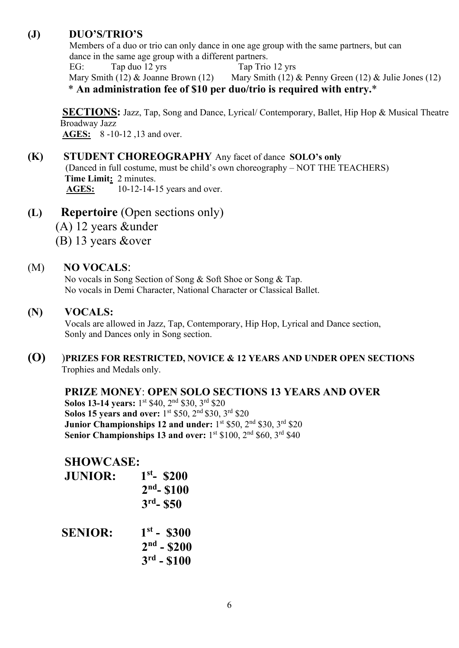#### **(J) DUO'S/TRIO'S**

 Members of a duo or trio can only dance in one age group with the same partners, but can dance in the same age group with a different partners.

EG: Tap duo 12 yrs Tap Trio 12 yrs Mary Smith (12) & Joanne Brown (12) Mary Smith (12) & Penny Green (12) & Julie Jones (12) \* **An administration fee of \$10 per duo/trio is required with entry.**\*

**SECTIONS:** Jazz, Tap, Song and Dance, Lyrical/ Contemporary, Ballet, Hip Hop & Musical Theatre Broadway Jazz  **AGES:** 8 -10-12 ,13 and over.

- **(K) STUDENT CHOREOGRAPHY** Any facet of dance **SOLO's only** (Danced in full costume, must be child's own choreography – NOT THE TEACHERS)  **Time Limit:** 2 minutes. **AGES:** 10-12-14-15 years and over.
- **(L) Repertoire** (Open sections only) (A) 12 years &under
	-
	- (B) 13 years &over

## (M) **NO VOCALS**:

 No vocals in Song Section of Song & Soft Shoe or Song & Tap. No vocals in Demi Character, National Character or Classical Ballet.

### **(N) VOCALS:**

 Vocals are allowed in Jazz, Tap, Contemporary, Hip Hop, Lyrical and Dance section, Sonly and Dances only in Song section.

**(O)** )**PRIZES FOR RESTRICTED, NOVICE & 12 YEARS AND UNDER OPEN SECTIONS** Trophies and Medals only.

### **PRIZE MONEY**: **OPEN SOLO SECTIONS 13 YEARS AND OVER**

Solos 13-14 years: 1<sup>st</sup> \$40, 2<sup>nd</sup> \$30, 3<sup>rd</sup> \$20 **Solos 15 years and over:** 1<sup>st</sup> \$50, 2<sup>nd</sup> \$30, 3<sup>rd</sup> \$20 **Junior Championships 12 and under:** 1<sup>st</sup> \$50, 2<sup>nd</sup> \$30, 3<sup>rd</sup> \$20 **Senior Championships 13 and over:** 1<sup>st</sup> \$100, 2<sup>nd</sup> \$60, 3<sup>rd</sup> \$40

## **SHOWCASE:**

| <b>JUNIOR:</b> | $1st - $200$<br>$2nd - $100$<br>$3rd - $50$         |
|----------------|-----------------------------------------------------|
| <b>SENIOR:</b> | $1^{st}$ - \$300<br>$2nd - $200$<br>$3^{rd} - $100$ |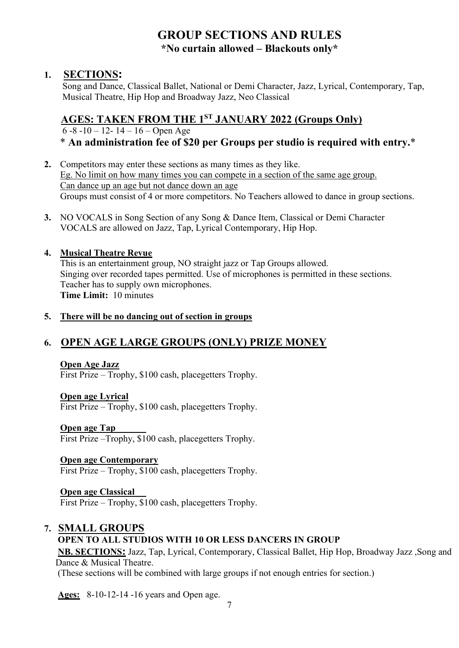# **GROUP SECTIONS AND RULES \*No curtain allowed – Blackouts only\***

#### **1. SECTIONS:**

 Song and Dance, Classical Ballet, National or Demi Character, Jazz, Lyrical, Contemporary, Tap, Musical Theatre, Hip Hop and Broadway Jazz, Neo Classical

# **AGES: TAKEN FROM THE 1ST JANUARY 2022 (Groups Only)**

 6 -8 -10 – 12- 14 – 16 – Open Age \* **An administration fee of \$20 per Groups per studio is required with entry.**\*

- **2.** Competitors may enter these sections as many times as they like. Eg. No limit on how many times you can compete in a section of the same age group. Can dance up an age but not dance down an age Groups must consist of 4 or more competitors. No Teachers allowed to dance in group sections.
- **3.** NO VOCALS in Song Section of any Song & Dance Item, Classical or Demi Character VOCALS are allowed on Jazz, Tap, Lyrical Contemporary, Hip Hop.

#### **4. Musical Theatre Revue**

This is an entertainment group, NO straight jazz or Tap Groups allowed. Singing over recorded tapes permitted. Use of microphones is permitted in these sections. Teacher has to supply own microphones.  **Time Limit:** 10 minutes

#### **5. There will be no dancing out of section in groups**

## **6. OPEN AGE LARGE GROUPS (ONLY) PRIZE MONEY**

#### **Open Age Jazz**

First Prize – Trophy, \$100 cash, placegetters Trophy.

#### **Open age Lyrical**

First Prize – Trophy, \$100 cash, placegetters Trophy.

#### **Open age Tap**

First Prize – Trophy, \$100 cash, placegetters Trophy.

#### **Open age Contemporary**

First Prize – Trophy, \$100 cash, placegetters Trophy.

#### **Open age Classical**

First Prize – Trophy, \$100 cash, placegetters Trophy.

# **7. SMALL GROUPS**

### **OPEN TO ALL STUDIOS WITH 10 OR LESS DANCERS IN GROUP**

**NB. SECTIONS:** Jazz, Tap, Lyrical, Contemporary, Classical Ballet, Hip Hop, Broadway Jazz ,Song and Dance & Musical Theatre.

(These sections will be combined with large groups if not enough entries for section.)

**Ages:** 8-10-12-14 -16 years and Open age.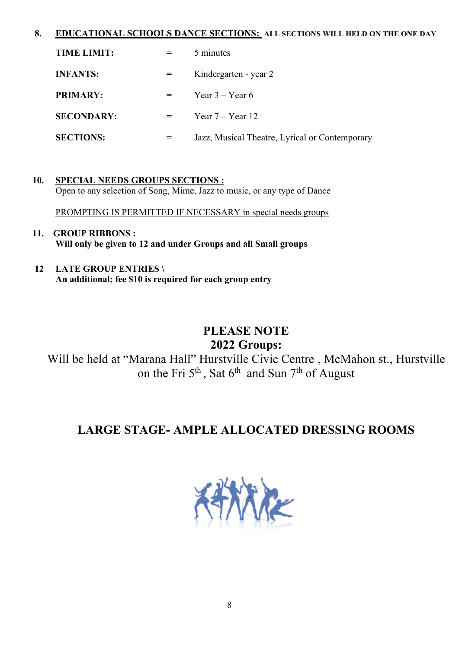#### **8. EDUCATIONAL SCHOOLS DANCE SECTIONS: ALL SECTIONS WILL HELD ON THE ONE DAY**

| <b>TIME LIMIT:</b> |                   | 5 minutes                                      |
|--------------------|-------------------|------------------------------------------------|
| <b>INFANTS:</b>    |                   | Kindergarten - year 2                          |
| <b>PRIMARY:</b>    | $\equiv$ $\equiv$ | Year $3 -$ Year 6                              |
| <b>SECONDARY:</b>  | $=$ $-$           | Year $7 -$ Year 12                             |
| <b>SECTIONS:</b>   |                   | Jazz, Musical Theatre, Lyrical or Contemporary |

 **10. SPECIAL NEEDS GROUPS SECTIONS :** Open to any selection of Song, Mime, Jazz to music, or any type of Dance

PROMPTING IS PERMITTED IF NECESSARY in special needs groups

- **11. GROUP RIBBONS : Will only be given to 12 and under Groups and all Small groups**
- **12 LATE GROUP ENTRIES \ An additional; fee \$10 is required for each group entry**

# **PLEASE NOTE 2022 Groups:**

Will be held at "Marana Hall" Hurstville Civic Centre , McMahon st., Hurstville on the Fri  $5<sup>th</sup>$ , Sat  $6<sup>th</sup>$  and Sun  $7<sup>th</sup>$  of August

# **LARGE STAGE- AMPLE ALLOCATED DRESSING ROOMS**

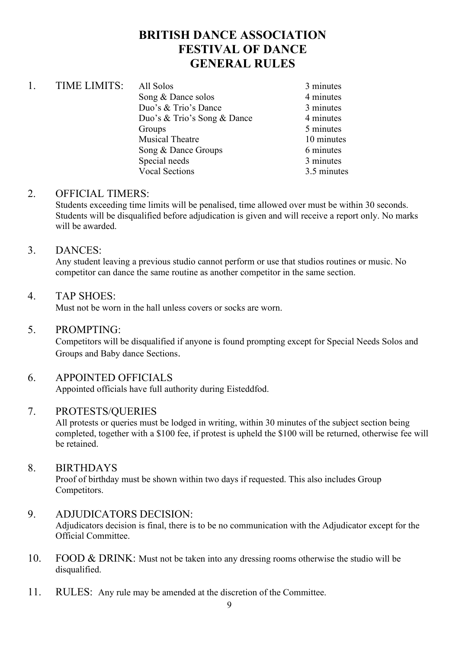# **BRITISH DANCE ASSOCIATION FESTIVAL OF DANCE GENERAL RULES**

| <b>TIME LIMITS:</b> | All Solos                   | 3 minutes   |
|---------------------|-----------------------------|-------------|
|                     | Song & Dance solos          | 4 minutes   |
|                     | Duo's & Trio's Dance        | 3 minutes   |
|                     | Duo's & Trio's Song & Dance | 4 minutes   |
|                     | Groups                      | 5 minutes   |
|                     | <b>Musical Theatre</b>      | 10 minutes  |
|                     | Song & Dance Groups         | 6 minutes   |
|                     | Special needs               | 3 minutes   |
|                     | <b>Vocal Sections</b>       | 3.5 minutes |
|                     |                             |             |

#### 2. OFFICIAL TIMERS:

Students exceeding time limits will be penalised, time allowed over must be within 30 seconds. Students will be disqualified before adjudication is given and will receive a report only. No marks will be awarded.

#### 3. DANCES:

Any student leaving a previous studio cannot perform or use that studios routines or music. No competitor can dance the same routine as another competitor in the same section.

#### 4. TAP SHOES:

Must not be worn in the hall unless covers or socks are worn.

#### 5. PROMPTING:

Competitors will be disqualified if anyone is found prompting except for Special Needs Solos and Groups and Baby dance Sections.

### 6. APPOINTED OFFICIALS

Appointed officials have full authority during Eisteddfod.

#### 7. PROTESTS/QUERIES

All protests or queries must be lodged in writing, within 30 minutes of the subject section being completed, together with a \$100 fee, if protest is upheld the \$100 will be returned, otherwise fee will be retained.

#### 8. BIRTHDAYS

Proof of birthday must be shown within two days if requested. This also includes Group Competitors.

#### 9. ADJUDICATORS DECISION:

Adjudicators decision is final, there is to be no communication with the Adjudicator except for the Official Committee.

- 10. FOOD & DRINK: Must not be taken into any dressing rooms otherwise the studio will be disqualified.
- 11. RULES: Any rule may be amended at the discretion of the Committee.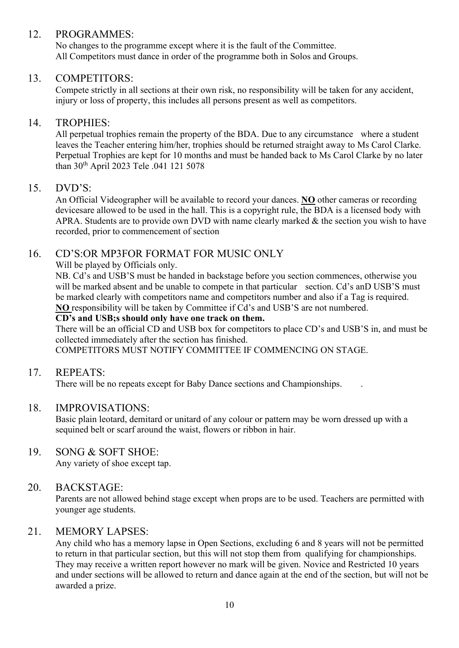#### 12. PROGRAMMES:

No changes to the programme except where it is the fault of the Committee. All Competitors must dance in order of the programme both in Solos and Groups.

#### 13. COMPETITORS:

Compete strictly in all sections at their own risk, no responsibility will be taken for any accident, injury or loss of property, this includes all persons present as well as competitors.

#### 14. TROPHIES:

All perpetual trophies remain the property of the BDA. Due to any circumstance where a student leaves the Teacher entering him/her, trophies should be returned straight away to Ms Carol Clarke. Perpetual Trophies are kept for 10 months and must be handed back to Ms Carol Clarke by no later than 30th April 2023 Tele .041 121 5078

#### 15. DVD'S:

An Official Videographer will be available to record your dances. **NO** other cameras or recording devicesare allowed to be used in the hall. This is a copyright rule, the BDA is a licensed body with APRA. Students are to provide own DVD with name clearly marked & the section you wish to have recorded, prior to commencement of section

#### 16. CD'S:OR MP3FOR FORMAT FOR MUSIC ONLY

Will be played by Officials only.

NB. Cd's and USB'S must be handed in backstage before you section commences, otherwise you will be marked absent and be unable to compete in that particular section. Cd's anD USB'S must be marked clearly with competitors name and competitors number and also if a Tag is required. **NO** responsibility will be taken by Committee if Cd's and USB'S are not numbered.

#### **CD's and USB;s should only have one track on them.**

There will be an official CD and USB box for competitors to place CD's and USB'S in, and must be collected immediately after the section has finished.

COMPETITORS MUST NOTIFY COMMITTEE IF COMMENCING ON STAGE.

#### 17. REPEATS:

There will be no repeats except for Baby Dance sections and Championships. .

#### 18. IMPROVISATIONS:

Basic plain leotard, demitard or unitard of any colour or pattern may be worn dressed up with a sequined belt or scarf around the waist, flowers or ribbon in hair.

#### 19. SONG & SOFT SHOE:

Any variety of shoe except tap.

#### 20. BACKSTAGE:

Parents are not allowed behind stage except when props are to be used. Teachers are permitted with younger age students.

#### 21. MEMORY LAPSES:

Any child who has a memory lapse in Open Sections, excluding 6 and 8 years will not be permitted to return in that particular section, but this will not stop them from qualifying for championships. They may receive a written report however no mark will be given. Novice and Restricted 10 years and under sections will be allowed to return and dance again at the end of the section, but will not be awarded a prize.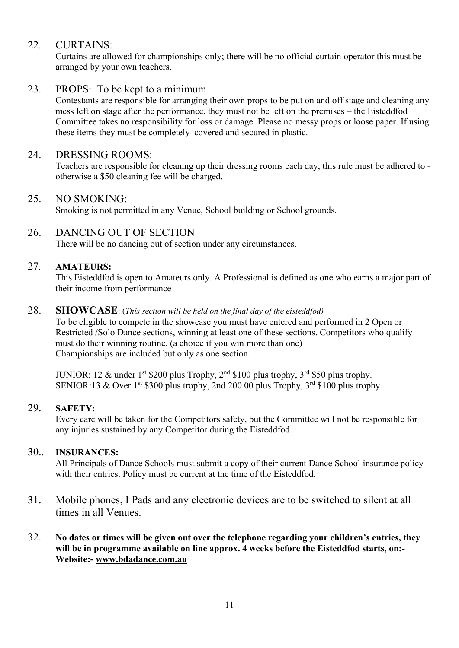#### 22. CURTAINS:

Curtains are allowed for championships only; there will be no official curtain operator this must be arranged by your own teachers.

#### 23. PROPS: To be kept to a minimum

Contestants are responsible for arranging their own props to be put on and off stage and cleaning any mess left on stage after the performance, they must not be left on the premises – the Eisteddfod Committee takes no responsibility for loss or damage. Please no messy props or loose paper. If using these items they must be completely covered and secured in plastic.

#### 24. DRESSING ROOMS:

Teachers are responsible for cleaning up their dressing rooms each day, this rule must be adhered to otherwise a \$50 cleaning fee will be charged.

#### 25. NO SMOKING:

Smoking is not permitted in any Venue, School building or School grounds.

#### 26. DANCING OUT OF SECTION

Ther**e w**ill be no dancing out of section under any circumstances.

#### 27. **AMATEURS:**

This Eisteddfod is open to Amateurs only. A Professional is defined as one who earns a major part of their income from performance

#### 28. **SHOWCASE**: (*This section will be held on the final day of the eisteddfod)*

To be eligible to compete in the showcase you must have entered and performed in 2 Open or Restricted /Solo Dance sections, winning at least one of these sections. Competitors who qualify must do their winning routine. (a choice if you win more than one) Championships are included but only as one section.

JUNIOR: 12 & under 1<sup>st</sup> \$200 plus Trophy,  $2<sup>nd</sup>$  \$100 plus trophy,  $3<sup>rd</sup>$  \$50 plus trophy. SENIOR:13 & Over 1<sup>st</sup> \$300 plus trophy, 2nd 200.00 plus Trophy,  $3<sup>rd</sup>$  \$100 plus trophy

#### 29**. SAFETY:**

Every care will be taken for the Competitors safety, but the Committee will not be responsible for any injuries sustained by any Competitor during the Eisteddfod.

#### 30.**. INSURANCES:**

All Principals of Dance Schools must submit a copy of their current Dance School insurance policy with their entries. Policy must be current at the time of the Eisteddfod**.**

31**.** Mobile phones, I Pads and any electronic devices are to be switched to silent at all times in all Venues.

#### 32. **No dates or times will be given out over the telephone regarding your children's entries, they will be in programme available on line approx. 4 weeks before the Eisteddfod starts, on:- Website:- [www.bdadance.com.au](http://www.bdadance.com.au/)**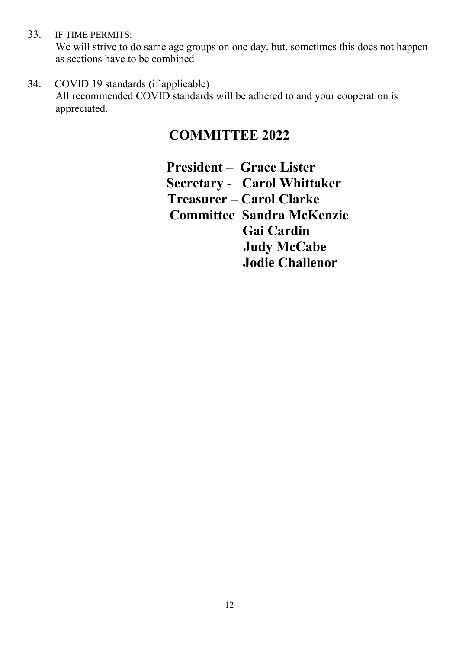33. IF TIME PERMITS:

We will strive to do same age groups on one day, but, sometimes this does not happen as sections have to be combined

34. COVID 19 standards (if applicable)

All recommended COVID standards will be adhered to and your cooperation is appreciated.

# **COMMITTEE 2022**

**President – Grace Lister Secretary - Carol Whittaker Treasurer – Carol Clarke Committee Sandra McKenzie Gai Cardin Judy McCabe Jodie Challenor**